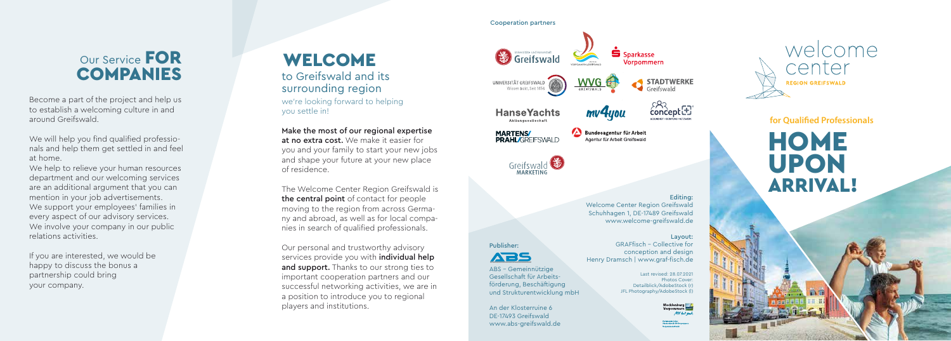we're looking forward to helping you settle in!

#### Make the most of our regional expertise

at no extra cost. We make it easier for you and your family to start your new jobs and shape your future at your new place of residence.

The Welcome Center Region Greifswald is the central point of contact for people moving to the region from across Germa ny and abroad, as well as for local compa nies in search of qualified professionals.

**HOME** UPON ARRIVAL!

Our personal and trustworthy advisory services provide you with *individual help* and support. Thanks to our strong ties to important cooperation partners and our successful networking activities, we are in a position to introduce you to regional players and institutions.

Greifswald Vornommern **STADTWERKE** UNIVERSITÄT GREIFSWALD Wissen lockt, Seit 1456 GREIFSWALD  $\overbrace{\text{concept}}^{\text{CQ}}$ **HanseYachts** mv4you Aktiengesellschaft Bundesagentur für Arbeit **MARTENS PRAHL/GREIFSWALD** Agentur für Arbeit Greifswald

Greifswald MARKETING

We will help you find qualified professionals and help them get settled in and feel at home.

#### Editing: Welcome Center Region Greifswald Schuhhagen 1, DE-17489 Greifswald www.welcome-greifswald.de

Layout: GRAFfisch – Collective for conception and design Henry Dramsch | www.graf-fisch.de

We help to relieve your human resources department and our welcoming services are an additional argument that you can mention in your job advertisements. We support your employees' families in every aspect of our advisory services. We involve your company in our public relations activities.

> Last revised: 28.07.2021 Photos Cover: Detailblick/AdobeStock (r) JFL Photography/AdobeStock (l)

> > MV tut gut

Publisher:



ABS – Gemeinnützige Gesellschaft für Arbeitsförderung, Beschäftigung und Strukturentwicklung mbH

An der Klosterruine 6 DE-17493 Greifswald www.abs-greifswald.de



### **for Qualified Professionals**

# WELCOME to Greifswald and its

# surrounding region

# Our Service FOR **COMPANIES**

Become a part of the project and help us to establish a welcoming culture in and around Greifswald.

If you are interested, we would be happy to discuss the bonus a partnership could bring your company.

Cooperation partners